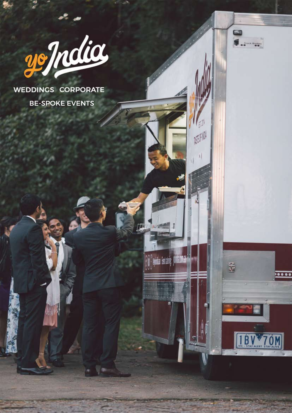

**WEDDINGS CORPORATE** BE-SPOKE EVENTS

**And &** 



 $-20$ 

**MON** 

ida letais

mana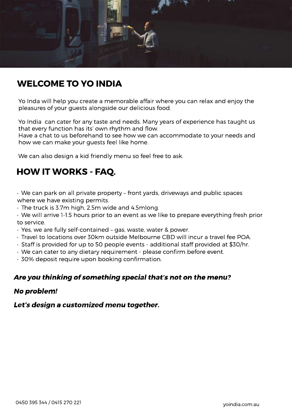

## **WELCOME TO YO INDIA**

Yo Inda will help you create a memorable affair where you can relax and enjoy the pleasures of your guests alongside our delicious food.

Yo India can cater for any taste and needs. Many years of experience has taught us that every function has its' own rhythm and flow.

Have a chat to us beforehand to see how we can accommodate to your needs and how we can make your guests feel like home.

We can also design a kid friendly menu so feel free to ask.

# **HOW IT WORKS - FAQ.**

- We can park on all private property front yards, driveways and public spaces where we have existing permits.
- The truck is 3.7m high, 2.5m wide and 4.5mlong.
- We will arrive 1-1.5 hours prior to an event as we like to prepare everything fresh prior to service.
- Yes, we are fully self-contained gas, waste, water & power.
- Travel to locations over 30km outside Melbourne CBD will incur a travel fee POA.
- Staff is provided for up to 50 people events additional staff provided at \$30/hr.
- We can cater to any dietary requirement please confirm before event.
- 30% deposit require upon booking confirmation.

### Are you thinking of something special that's not on the menu?

### No problem!

### Let's design a customized menu together.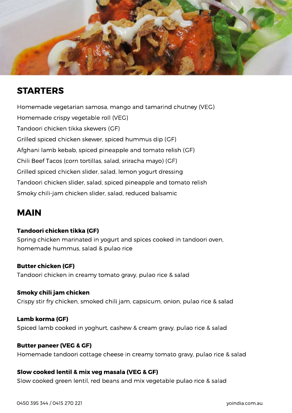

## **STARTERS**

Homemade vegetarian samosa, mango and tamarind chutney (VEG) Homemade crispy vegetable roll (VEG) Tandoori chicken tikka skewers (GF) Grilled spiced chicken skewer, spiced hummus dip (GF) Afghani lamb kebab, spiced pineapple and tomato relish (GF) Chili Beef Tacos (corn tortillas, salad, sriracha mayo) (GF) Grilled spiced chicken slider, salad, lemon yogurt dressing Tandoori chicken slider, salad, spiced pineapple and tomato relish Smoky chili-jam chicken slider, salad, reduced balsamic

## **MAIN**

### **Tandoori chicken tikka (GF)**

Spring chicken marinated in yogurt and spices cooked in tandoori oven, homemade hummus, salad & pulao rice

### **Butter chicken (GF)**

Tandoori chicken in creamy tomato gravy, pulao rice & salad

### **Smoky chili jam chicken**

Crispy stir fry chicken, smoked chili jam, capsicum, onion, pulao rice & salad

### **Lamb korma (GF)**

Spiced lamb cooked in yoghurt, cashew & cream gravy, pulao rice & salad

### **Butter paneer (VEG & GF)**

Homemade tandoori cottage cheese in creamy tomato gravy, pulao rice & salad

### **Slow cooked lentil & mix veg masala (VEG & GF)**

Slow cooked green lentil, red beans and mix vegetable pulao rice & salad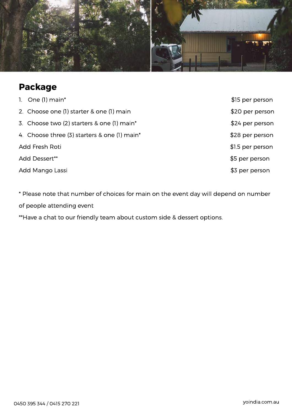

# **Package**

|                 | 1. One $(l)$ main*                           | \$15 per person  |
|-----------------|----------------------------------------------|------------------|
|                 | 2. Choose one (1) starter & one (1) main     | \$20 per person  |
|                 | 3. Choose two (2) starters & one (1) main*   | \$24 per person  |
|                 | 4. Choose three (3) starters & one (1) main* | \$28 per person  |
| Add Fresh Roti  |                                              | \$1.5 per person |
| Add Dessert**   |                                              | \$5 per person   |
| Add Mango Lassi |                                              | \$3 per person   |

\* Please note that number of choices for main on the event day will depend on number of people attending event

\*\*Have a chat to our friendly team about custom side & dessert options.